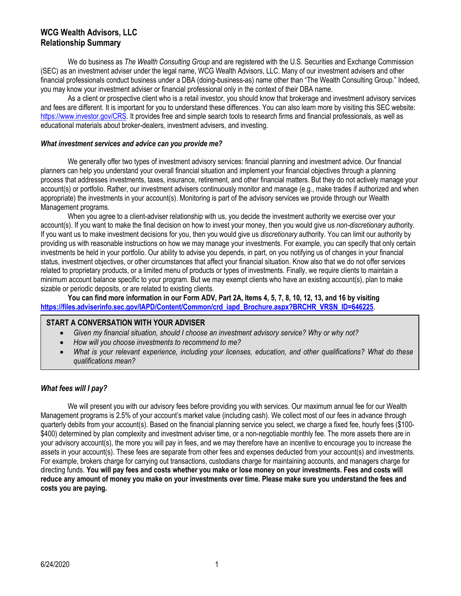# **WCG Wealth Advisors, LLC Relationship Summary**

We do business as *The Wealth Consulting Group* and are registered with the U.S. Securities and Exchange Commission (SEC) as an investment adviser under the legal name, WCG Wealth Advisors, LLC. Many of our investment advisers and other financial professionals conduct business under a DBA (doing-business-as) name other than "The Wealth Consulting Group." Indeed, you may know your investment adviser or financial professional only in the context of their DBA name.

As a client or prospective client who is a retail investor, you should know that brokerage and investment advisory services and fees are different. It is important for you to understand these differences. You can also learn more by visiting this SEC website: [https://www.investor.gov/CRS.](https://www.investor.gov/CRS) It provides free and simple search tools to research firms and financial professionals, as well as educational materials about broker-dealers, investment advisers, and investing.

#### *What investment services and advice can you provide me?*

We generally offer two types of investment advisory services: financial planning and investment advice. Our financial planners can help you understand your overall financial situation and implement your financial objectives through a planning process that addresses investments, taxes, insurance, retirement, and other financial matters. But they do not actively manage your account(s) or portfolio. Rather, our investment advisers continuously monitor and manage (e.g., make trades if authorized and when appropriate) the investments in your account(s). Monitoring is part of the advisory services we provide through our Wealth Management programs.

When you agree to a client-adviser relationship with us, you decide the investment authority we exercise over your account(s). If you want to make the final decision on how to invest your money, then you would give us *non-discretionary* authority. If you want us to make investment decisions for you, then you would give us *discretionary* authority. You can limit our authority by providing us with reasonable instructions on how we may manage your investments. For example, you can specify that only certain investments be held in your portfolio. Our ability to advise you depends, in part, on you notifying us of changes in your financial status, investment objectives, or other circumstances that affect your financial situation. Know also that we do not offer services related to proprietary products, or a limited menu of products or types of investments. Finally, we require clients to maintain a minimum account balance specific to your program. But we may exempt clients who have an existing account(s), plan to make sizable or periodic deposits, or are related to existing clients.

**You can find more information in our Form ADV, Part 2A, Items 4, 5, 7, 8, 10, 12, 13, and 16 by visiting [https://files.adviserinfo.sec.gov/IAPD/Content/Common/crd\\_iapd\\_Brochure.aspx?BRCHR\\_VRSN\\_ID=646225](https://files.adviserinfo.sec.gov/IAPD/Content/Common/crd_iapd_Brochure.aspx?BRCHR_VRSN_ID=646225)**.

# **START A CONVERSATION WITH YOUR ADVISER**

- *Given my financial situation, should I choose an investment advisory service? Why or why not?*
- *How will you choose investments to recommend to me?*
- *What is your relevant experience, including your licenses, education, and other qualifications? What do these qualifications mean?*

# *What fees will I pay?*

We will present you with our advisory fees before providing you with services. Our maximum annual fee for our Wealth Management programs is 2.5% of your account's market value (including cash). We collect most of our fees in advance through quarterly debits from your account(s). Based on the financial planning service you select, we charge a fixed fee, hourly fees (\$100- \$400) determined by plan complexity and investment adviser time, or a non-negotiable monthly fee. The more assets there are in your advisory account(s), the more you will pay in fees, and we may therefore have an incentive to encourage you to increase the assets in your account(s). These fees are separate from other fees and expenses deducted from your account(s) and investments. For example, brokers charge for carrying out transactions, custodians charge for maintaining accounts, and managers charge for directing funds. **You will pay fees and costs whether you make or lose money on your investments. Fees and costs will reduce any amount of money you make on your investments over time. Please make sure you understand the fees and costs you are paying.**